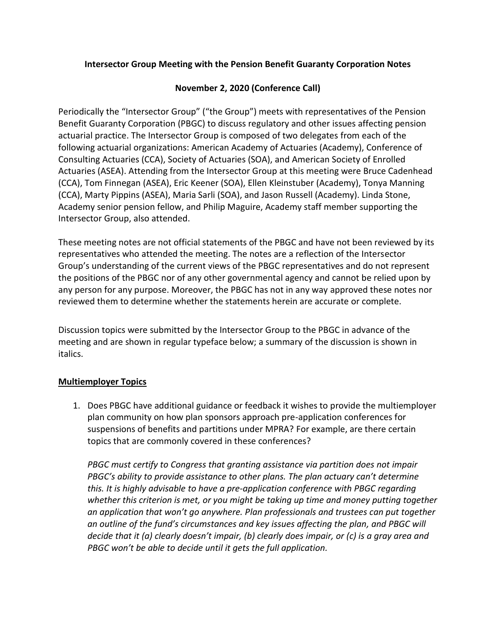### **Intersector Group Meeting with the Pension Benefit Guaranty Corporation Notes**

#### **November 2, 2020 (Conference Call)**

Periodically the "Intersector Group" ("the Group") meets with representatives of the Pension Benefit Guaranty Corporation (PBGC) to discuss regulatory and other issues affecting pension actuarial practice. The Intersector Group is composed of two delegates from each of the following actuarial organizations: American Academy of Actuaries (Academy), Conference of Consulting Actuaries (CCA), Society of Actuaries (SOA), and American Society of Enrolled Actuaries (ASEA). Attending from the Intersector Group at this meeting were Bruce Cadenhead (CCA), Tom Finnegan (ASEA), Eric Keener (SOA), Ellen Kleinstuber (Academy), Tonya Manning (CCA), Marty Pippins (ASEA), Maria Sarli (SOA), and Jason Russell (Academy). Linda Stone, Academy senior pension fellow, and Philip Maguire, Academy staff member supporting the Intersector Group, also attended.

These meeting notes are not official statements of the PBGC and have not been reviewed by its representatives who attended the meeting. The notes are a reflection of the Intersector Group's understanding of the current views of the PBGC representatives and do not represent the positions of the PBGC nor of any other governmental agency and cannot be relied upon by any person for any purpose. Moreover, the PBGC has not in any way approved these notes nor reviewed them to determine whether the statements herein are accurate or complete.

Discussion topics were submitted by the Intersector Group to the PBGC in advance of the meeting and are shown in regular typeface below; a summary of the discussion is shown in italics.

#### **Multiemployer Topics**

1. Does PBGC have additional guidance or feedback it wishes to provide the multiemployer plan community on how plan sponsors approach pre-application conferences for suspensions of benefits and partitions under MPRA? For example, are there certain topics that are commonly covered in these conferences?

*PBGC must certify to Congress that granting assistance via partition does not impair PBGC's ability to provide assistance to other plans. The plan actuary can't determine this. It is highly advisable to have a pre-application conference with PBGC regarding whether this criterion is met, or you might be taking up time and money putting together an application that won't go anywhere. Plan professionals and trustees can put together an outline of the fund's circumstances and key issues affecting the plan, and PBGC will decide that it (a) clearly doesn't impair, (b) clearly does impair, or (c) is a gray area and PBGC won't be able to decide until it gets the full application.*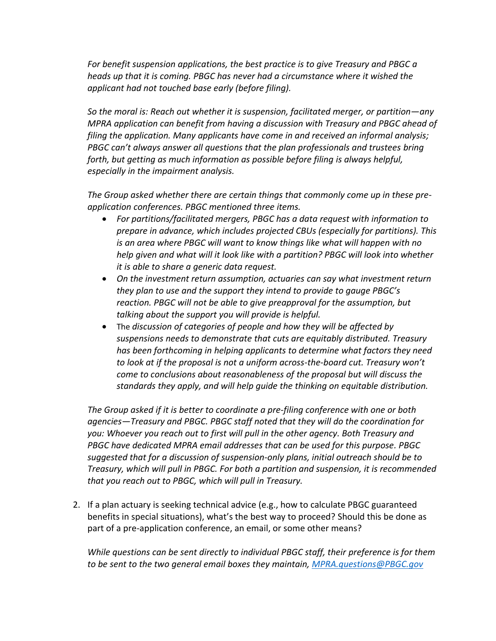*For benefit suspension applications, the best practice is to give Treasury and PBGC a heads up that it is coming. PBGC has never had a circumstance where it wished the applicant had not touched base early (before filing).*

*So the moral is: Reach out whether it is suspension, facilitated merger, or partition—any MPRA application can benefit from having a discussion with Treasury and PBGC ahead of filing the application. Many applicants have come in and received an informal analysis; PBGC can't always answer all questions that the plan professionals and trustees bring forth, but getting as much information as possible before filing is always helpful, especially in the impairment analysis.*

*The Group asked whether there are certain things that commonly come up in these preapplication conferences. PBGC mentioned three items.*

- *For partitions/facilitated mergers, PBGC has a data request with information to prepare in advance, which includes projected CBUs (especially for partitions). This is an area where PBGC will want to know things like what will happen with no help given and what will it look like with a partition? PBGC will look into whether it is able to share a generic data request.*
- *On the investment return assumption, actuaries can say what investment return they plan to use and the support they intend to provide to gauge PBGC's reaction. PBGC will not be able to give preapproval for the assumption, but talking about the support you will provide is helpful.*
- The *discussion of categories of people and how they will be affected by suspensions needs to demonstrate that cuts are equitably distributed. Treasury has been forthcoming in helping applicants to determine what factors they need to look at if the proposal is not a uniform across-the-board cut. Treasury won't come to conclusions about reasonableness of the proposal but will discuss the standards they apply, and will help guide the thinking on equitable distribution.*

*The Group asked if it is better to coordinate a pre-filing conference with one or both agencies—Treasury and PBGC. PBGC staff noted that they will do the coordination for you: Whoever you reach out to first will pull in the other agency. Both Treasury and PBGC have dedicated MPRA email addresses that can be used for this purpose. PBGC suggested that for a discussion of suspension-only plans, initial outreach should be to Treasury, which will pull in PBGC. For both a partition and suspension, it is recommended that you reach out to PBGC, which will pull in Treasury.*

2. If a plan actuary is seeking technical advice (e.g., how to calculate PBGC guaranteed benefits in special situations), what's the best way to proceed? Should this be done as part of a pre-application conference, an email, or some other means?

*While questions can be sent directly to individual PBGC staff, their preference is for them to be sent to the two general email boxes they maintain, [MPRA.questions@PBGC.gov](mailto:MPRA.questions@PBGC.gov)*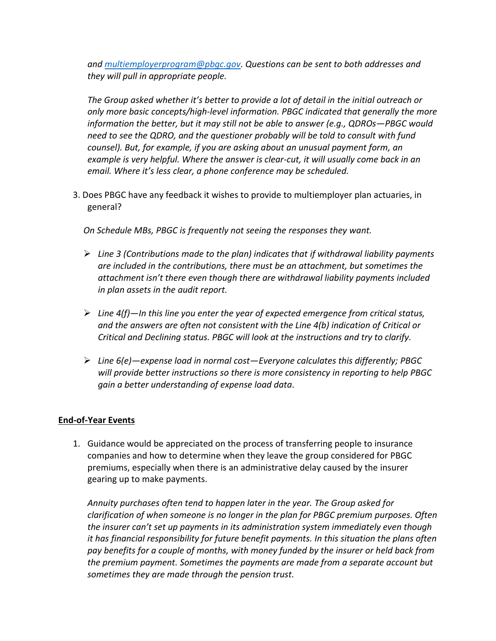*and [multiemployerprogram@pbgc.gov.](mailto:multiemployerprogram@pbgc.gov) Questions can be sent to both addresses and they will pull in appropriate people.*

*The Group asked whether it's better to provide a lot of detail in the initial outreach or only more basic concepts/high-level information. PBGC indicated that generally the more information the better, but it may still not be able to answer (e.g., QDROs—PBGC would need to see the QDRO, and the questioner probably will be told to consult with fund counsel). But, for example, if you are asking about an unusual payment form, an example is very helpful. Where the answer is clear-cut, it will usually come back in an email. Where it's less clear, a phone conference may be scheduled.*

3. Does PBGC have any feedback it wishes to provide to multiemployer plan actuaries, in general?

*On Schedule MBs, PBGC is frequently not seeing the responses they want.*

- ➢ *Line 3 (Contributions made to the plan) indicates that if withdrawal liability payments are included in the contributions, there must be an attachment, but sometimes the attachment isn't there even though there are withdrawal liability payments included in plan assets in the audit report.*
- ➢ *Line 4(f)—In this line you enter the year of expected emergence from critical status, and the answers are often not consistent with the Line 4(b) indication of Critical or Critical and Declining status. PBGC will look at the instructions and try to clarify.*
- ➢ *Line 6(e)—expense load in normal cost—Everyone calculates this differently; PBGC will provide better instructions so there is more consistency in reporting to help PBGC gain a better understanding of expense load data.*

### **End-of-Year Events**

1. Guidance would be appreciated on the process of transferring people to insurance companies and how to determine when they leave the group considered for PBGC premiums, especially when there is an administrative delay caused by the insurer gearing up to make payments.

*Annuity purchases often tend to happen later in the year. The Group asked for clarification of when someone is no longer in the plan for PBGC premium purposes. Often the insurer can't set up payments in its administration system immediately even though it has financial responsibility for future benefit payments. In this situation the plans often pay benefits for a couple of months, with money funded by the insurer or held back from the premium payment. Sometimes the payments are made from a separate account but sometimes they are made through the pension trust.*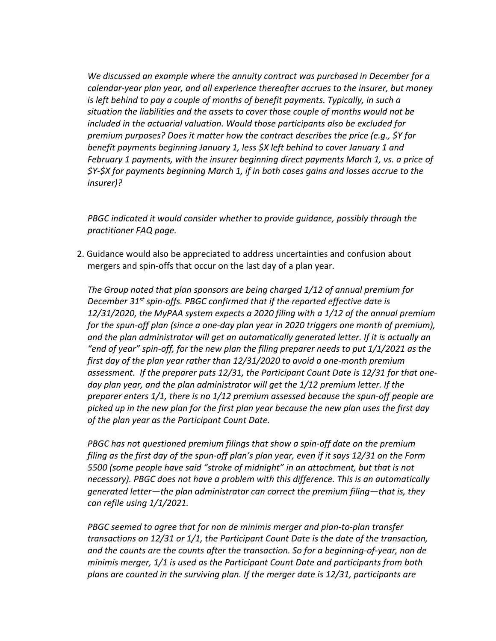*We discussed an example where the annuity contract was purchased in December for a calendar-year plan year, and all experience thereafter accrues to the insurer, but money is left behind to pay a couple of months of benefit payments. Typically, in such a situation the liabilities and the assets to cover those couple of months would not be included in the actuarial valuation. Would those participants also be excluded for premium purposes? Does it matter how the contract describes the price (e.g., \$Y for benefit payments beginning January 1, less \$X left behind to cover January 1 and February 1 payments, with the insurer beginning direct payments March 1, vs. a price of \$Y-\$X for payments beginning March 1, if in both cases gains and losses accrue to the insurer)?*

*PBGC indicated it would consider whether to provide guidance, possibly through the practitioner FAQ page.*

2. Guidance would also be appreciated to address uncertainties and confusion about mergers and spin-offs that occur on the last day of a plan year.

*The Group noted that plan sponsors are being charged 1/12 of annual premium for December 31st spin-offs. PBGC confirmed that if the reported effective date is 12/31/2020, the MyPAA system expects a 2020 filing with a 1/12 of the annual premium for the spun-off plan (since a one-day plan year in 2020 triggers one month of premium), and the plan administrator will get an automatically generated letter. If it is actually an "end of year" spin-off, for the new plan the filing preparer needs to put 1/1/2021 as the first day of the plan year rather than 12/31/2020 to avoid a one-month premium assessment. If the preparer puts 12/31, the Participant Count Date is 12/31 for that oneday plan year, and the plan administrator will get the 1/12 premium letter. If the preparer enters 1/1, there is no 1/12 premium assessed because the spun-off people are picked up in the new plan for the first plan year because the new plan uses the first day of the plan year as the Participant Count Date.*

*PBGC has not questioned premium filings that show a spin-off date on the premium filing as the first day of the spun-off plan's plan year, even if it says 12/31 on the Form 5500 (some people have said "stroke of midnight" in an attachment, but that is not necessary). PBGC does not have a problem with this difference. This is an automatically generated letter—the plan administrator can correct the premium filing—that is, they can refile using 1/1/2021.*

*PBGC seemed to agree that for non de minimis merger and plan-to-plan transfer transactions on 12/31 or 1/1, the Participant Count Date is the date of the transaction, and the counts are the counts after the transaction. So for a beginning-of-year, non de minimis merger, 1/1 is used as the Participant Count Date and participants from both plans are counted in the surviving plan. If the merger date is 12/31, participants are*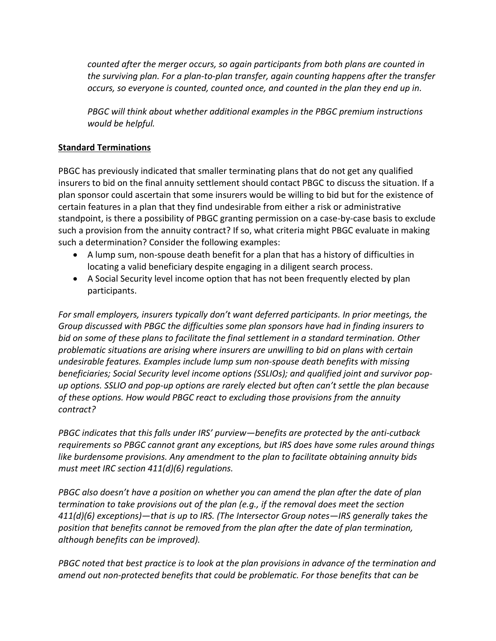*counted after the merger occurs, so again participants from both plans are counted in the surviving plan. For a plan-to-plan transfer, again counting happens after the transfer occurs, so everyone is counted, counted once, and counted in the plan they end up in.*

*PBGC will think about whether additional examples in the PBGC premium instructions would be helpful.*

# **Standard Terminations**

PBGC has previously indicated that smaller terminating plans that do not get any qualified insurers to bid on the final annuity settlement should contact PBGC to discuss the situation. If a plan sponsor could ascertain that some insurers would be willing to bid but for the existence of certain features in a plan that they find undesirable from either a risk or administrative standpoint, is there a possibility of PBGC granting permission on a case-by-case basis to exclude such a provision from the annuity contract? If so, what criteria might PBGC evaluate in making such a determination? Consider the following examples:

- A lump sum, non-spouse death benefit for a plan that has a history of difficulties in locating a valid beneficiary despite engaging in a diligent search process.
- A Social Security level income option that has not been frequently elected by plan participants.

*For small employers, insurers typically don't want deferred participants. In prior meetings, the Group discussed with PBGC the difficulties some plan sponsors have had in finding insurers to bid on some of these plans to facilitate the final settlement in a standard termination. Other problematic situations are arising where insurers are unwilling to bid on plans with certain undesirable features. Examples include lump sum non-spouse death benefits with missing beneficiaries; Social Security level income options (SSLIOs); and qualified joint and survivor popup options. SSLIO and pop-up options are rarely elected but often can't settle the plan because of these options. How would PBGC react to excluding those provisions from the annuity contract?*

*PBGC indicates that this falls under IRS' purview—benefits are protected by the anti-cutback requirements so PBGC cannot grant any exceptions, but IRS does have some rules around things like burdensome provisions. Any amendment to the plan to facilitate obtaining annuity bids must meet IRC section 411(d)(6) regulations.*

*PBGC also doesn't have a position on whether you can amend the plan after the date of plan termination to take provisions out of the plan (e.g., if the removal does meet the section 411(d)(6) exceptions)—that is up to IRS. (The Intersector Group notes—IRS generally takes the position that benefits cannot be removed from the plan after the date of plan termination, although benefits can be improved).*

*PBGC noted that best practice is to look at the plan provisions in advance of the termination and amend out non-protected benefits that could be problematic. For those benefits that can be*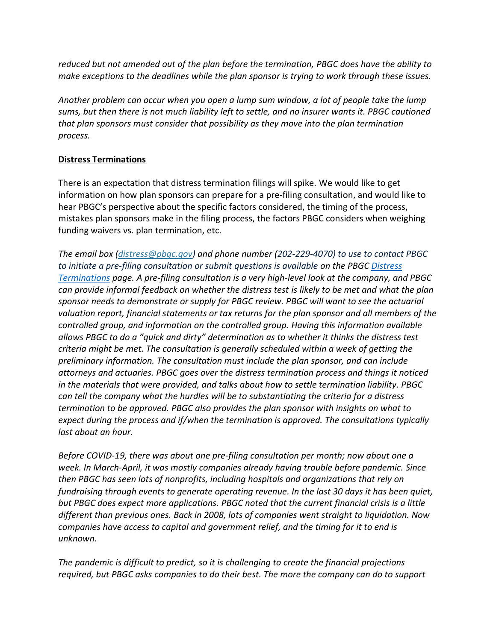*reduced but not amended out of the plan before the termination, PBGC does have the ability to make exceptions to the deadlines while the plan sponsor is trying to work through these issues.*

*Another problem can occur when you open a lump sum window, a lot of people take the lump sums, but then there is not much liability left to settle, and no insurer wants it. PBGC cautioned that plan sponsors must consider that possibility as they move into the plan termination process.*

### **Distress Terminations**

There is an expectation that distress termination filings will spike. We would like to get information on how plan sponsors can prepare for a pre-filing consultation, and would like to hear PBGC's perspective about the specific factors considered, the timing of the process, mistakes plan sponsors make in the filing process, the factors PBGC considers when weighing funding waivers vs. plan termination, etc.

*The email box [\(distress@pbgc.gov\)](mailto:distress@pbgc.gov) and phone number (202-229-4070) to use to contact PBGC to initiate a pre-filing consultation or submit questions is available on the PBGC [Distress](http://www.pbgc.gov/prac/terminations/distress-terminations)  [Terminations](http://www.pbgc.gov/prac/terminations/distress-terminations) page. A pre-filing consultation is a very high-level look at the company, and PBGC can provide informal feedback on whether the distress test is likely to be met and what the plan sponsor needs to demonstrate or supply for PBGC review. PBGC will want to see the actuarial valuation report, financial statements or tax returns for the plan sponsor and all members of the controlled group, and information on the controlled group. Having this information available allows PBGC to do a "quick and dirty" determination as to whether it thinks the distress test criteria might be met. The consultation is generally scheduled within a week of getting the preliminary information. The consultation must include the plan sponsor, and can include attorneys and actuaries. PBGC goes over the distress termination process and things it noticed in the materials that were provided, and talks about how to settle termination liability. PBGC can tell the company what the hurdles will be to substantiating the criteria for a distress termination to be approved. PBGC also provides the plan sponsor with insights on what to expect during the process and if/when the termination is approved. The consultations typically last about an hour.* 

*Before COVID-19, there was about one pre-filing consultation per month; now about one a week. In March-April, it was mostly companies already having trouble before pandemic. Since then PBGC has seen lots of nonprofits, including hospitals and organizations that rely on fundraising through events to generate operating revenue. In the last 30 days it has been quiet, but PBGC does expect more applications. PBGC noted that the current financial crisis is a little different than previous ones. Back in 2008, lots of companies went straight to liquidation. Now companies have access to capital and government relief, and the timing for it to end is unknown.* 

*The pandemic is difficult to predict, so it is challenging to create the financial projections required, but PBGC asks companies to do their best. The more the company can do to support*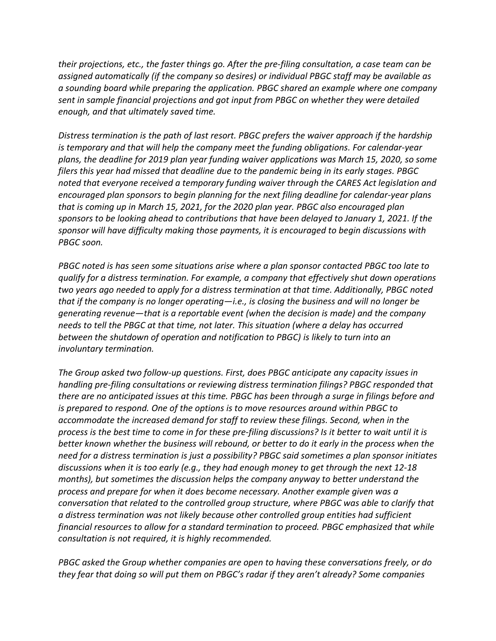*their projections, etc., the faster things go. After the pre-filing consultation, a case team can be assigned automatically (if the company so desires) or individual PBGC staff may be available as a sounding board while preparing the application. PBGC shared an example where one company sent in sample financial projections and got input from PBGC on whether they were detailed enough, and that ultimately saved time.* 

*Distress termination is the path of last resort. PBGC prefers the waiver approach if the hardship is temporary and that will help the company meet the funding obligations. For calendar-year plans, the deadline for 2019 plan year funding waiver applications was March 15, 2020, so some filers this year had missed that deadline due to the pandemic being in its early stages. PBGC noted that everyone received a temporary funding waiver through the CARES Act legislation and encouraged plan sponsors to begin planning for the next filing deadline for calendar-year plans that is coming up in March 15, 2021, for the 2020 plan year. PBGC also encouraged plan sponsors to be looking ahead to contributions that have been delayed to January 1, 2021. If the sponsor will have difficulty making those payments, it is encouraged to begin discussions with PBGC soon.*

*PBGC noted is has seen some situations arise where a plan sponsor contacted PBGC too late to qualify for a distress termination. For example, a company that effectively shut down operations two years ago needed to apply for a distress termination at that time. Additionally, PBGC noted that if the company is no longer operating—i.e., is closing the business and will no longer be generating revenue—that is a reportable event (when the decision is made) and the company needs to tell the PBGC at that time, not later. This situation (where a delay has occurred between the shutdown of operation and notification to PBGC) is likely to turn into an involuntary termination.*

*The Group asked two follow-up questions. First, does PBGC anticipate any capacity issues in handling pre-filing consultations or reviewing distress termination filings? PBGC responded that there are no anticipated issues at this time. PBGC has been through a surge in filings before and is prepared to respond. One of the options is to move resources around within PBGC to accommodate the increased demand for staff to review these filings. Second, when in the process is the best time to come in for these pre-filing discussions? Is it better to wait until it is better known whether the business will rebound, or better to do it early in the process when the need for a distress termination is just a possibility? PBGC said sometimes a plan sponsor initiates discussions when it is too early (e.g., they had enough money to get through the next 12-18 months), but sometimes the discussion helps the company anyway to better understand the process and prepare for when it does become necessary. Another example given was a conversation that related to the controlled group structure, where PBGC was able to clarify that a distress termination was not likely because other controlled group entities had sufficient financial resources to allow for a standard termination to proceed. PBGC emphasized that while consultation is not required, it is highly recommended.*

*PBGC asked the Group whether companies are open to having these conversations freely, or do they fear that doing so will put them on PBGC's radar if they aren't already? Some companies*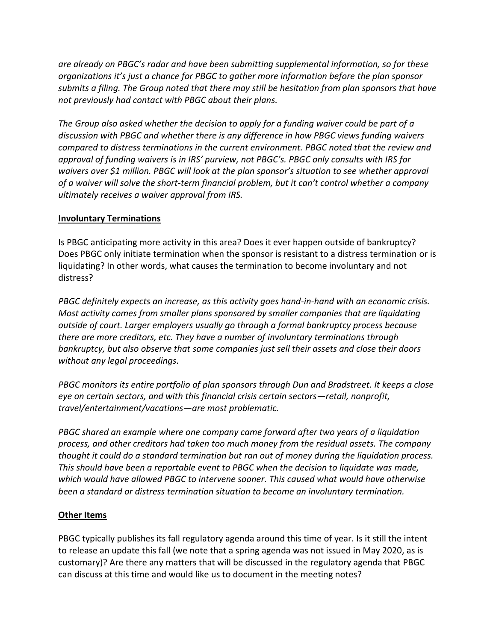*are already on PBGC's radar and have been submitting supplemental information, so for these organizations it's just a chance for PBGC to gather more information before the plan sponsor submits a filing. The Group noted that there may still be hesitation from plan sponsors that have not previously had contact with PBGC about their plans.*

*The Group also asked whether the decision to apply for a funding waiver could be part of a discussion with PBGC and whether there is any difference in how PBGC views funding waivers compared to distress terminations in the current environment. PBGC noted that the review and approval of funding waivers is in IRS' purview, not PBGC's. PBGC only consults with IRS for waivers over \$1 million. PBGC will look at the plan sponsor's situation to see whether approval of a waiver will solve the short-term financial problem, but it can't control whether a company ultimately receives a waiver approval from IRS.* 

### **Involuntary Terminations**

Is PBGC anticipating more activity in this area? Does it ever happen outside of bankruptcy? Does PBGC only initiate termination when the sponsor is resistant to a distress termination or is liquidating? In other words, what causes the termination to become involuntary and not distress?

*PBGC definitely expects an increase, as this activity goes hand-in-hand with an economic crisis. Most activity comes from smaller plans sponsored by smaller companies that are liquidating outside of court. Larger employers usually go through a formal bankruptcy process because there are more creditors, etc. They have a number of involuntary terminations through bankruptcy, but also observe that some companies just sell their assets and close their doors without any legal proceedings.* 

*PBGC monitors its entire portfolio of plan sponsors through Dun and Bradstreet. It keeps a close eye on certain sectors, and with this financial crisis certain sectors—retail, nonprofit, travel/entertainment/vacations—are most problematic.* 

*PBGC shared an example where one company came forward after two years of a liquidation process, and other creditors had taken too much money from the residual assets. The company thought it could do a standard termination but ran out of money during the liquidation process. This should have been a reportable event to PBGC when the decision to liquidate was made, which would have allowed PBGC to intervene sooner. This caused what would have otherwise been a standard or distress termination situation to become an involuntary termination.*

### **Other Items**

PBGC typically publishes its fall regulatory agenda around this time of year. Is it still the intent to release an update this fall (we note that a spring agenda was not issued in May 2020, as is customary)? Are there any matters that will be discussed in the regulatory agenda that PBGC can discuss at this time and would like us to document in the meeting notes?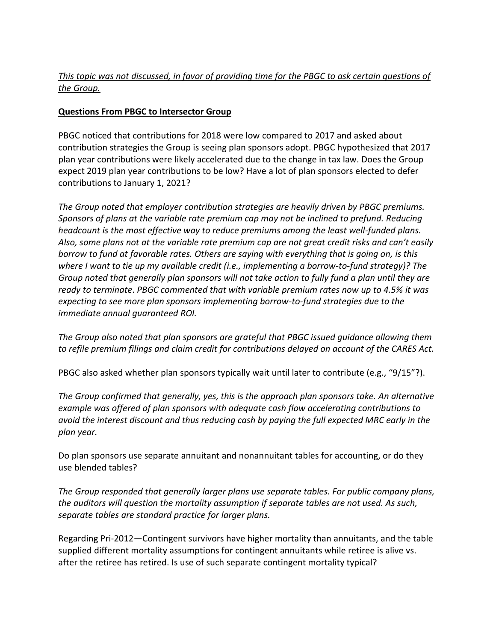# *This topic was not discussed, in favor of providing time for the PBGC to ask certain questions of the Group.*

# **Questions From PBGC to Intersector Group**

PBGC noticed that contributions for 2018 were low compared to 2017 and asked about contribution strategies the Group is seeing plan sponsors adopt. PBGC hypothesized that 2017 plan year contributions were likely accelerated due to the change in tax law. Does the Group expect 2019 plan year contributions to be low? Have a lot of plan sponsors elected to defer contributions to January 1, 2021?

*The Group noted that employer contribution strategies are heavily driven by PBGC premiums. Sponsors of plans at the variable rate premium cap may not be inclined to prefund. Reducing headcount is the most effective way to reduce premiums among the least well-funded plans. Also, some plans not at the variable rate premium cap are not great credit risks and can't easily borrow to fund at favorable rates. Others are saying with everything that is going on, is this where I want to tie up my available credit (i.e., implementing a borrow-to-fund strategy)? The Group noted that generally plan sponsors will not take action to fully fund a plan until they are ready to terminate*. *PBGC commented that with variable premium rates now up to 4.5% it was expecting to see more plan sponsors implementing borrow-to-fund strategies due to the immediate annual guaranteed ROI.*

*The Group also noted that plan sponsors are grateful that PBGC issued guidance allowing them to refile premium filings and claim credit for contributions delayed on account of the CARES Act.*

PBGC also asked whether plan sponsors typically wait until later to contribute (e.g., "9/15"?).

*The Group confirmed that generally, yes, this is the approach plan sponsors take. An alternative example was offered of plan sponsors with adequate cash flow accelerating contributions to avoid the interest discount and thus reducing cash by paying the full expected MRC early in the plan year.*

Do plan sponsors use separate annuitant and nonannuitant tables for accounting, or do they use blended tables?

*The Group responded that generally larger plans use separate tables. For public company plans, the auditors will question the mortality assumption if separate tables are not used. As such, separate tables are standard practice for larger plans.*

Regarding Pri-2012—Contingent survivors have higher mortality than annuitants, and the table supplied different mortality assumptions for contingent annuitants while retiree is alive vs. after the retiree has retired. Is use of such separate contingent mortality typical?